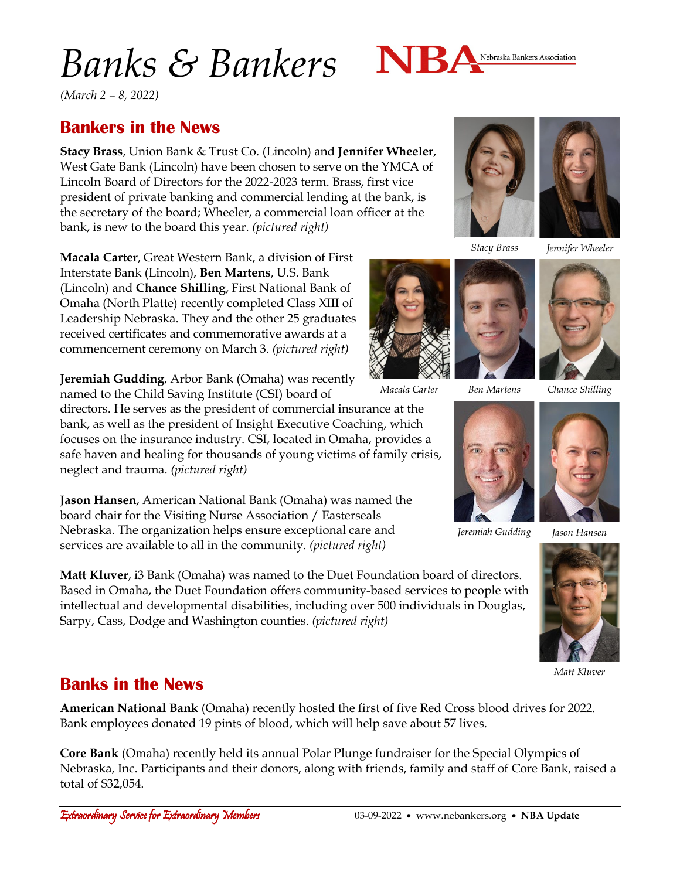# *Banks & Bankers*



*(March 2 – 8, 2022)*

### **Bankers in the News**

**Stacy Brass**, Union Bank & Trust Co. (Lincoln) and **Jennifer Wheeler**, West Gate Bank (Lincoln) have been chosen to serve on the YMCA of Lincoln Board of Directors for the 2022-2023 term. Brass, first vice president of private banking and commercial lending at the bank, is the secretary of the board; Wheeler, a commercial loan officer at the bank, is new to the board this year. *(pictured right)*

**Macala Carter**, Great Western Bank, a division of First Interstate Bank (Lincoln), **Ben Martens**, U.S. Bank (Lincoln) and **Chance Shilling**, First National Bank of Omaha (North Platte) recently completed Class XIII of Leadership Nebraska. They and the other 25 graduates received certificates and commemorative awards at a commencement ceremony on March 3. *(pictured right)*

**Jeremiah Gudding**, Arbor Bank (Omaha) was recently named to the Child Saving Institute (CSI) board of

directors. He serves as the president of commercial insurance at the bank, as well as the president of Insight Executive Coaching, which focuses on the insurance industry. CSI, located in Omaha, provides a safe haven and healing for thousands of young victims of family crisis, neglect and trauma. *(pictured right)*

**Jason Hansen**, American National Bank (Omaha) was named the board chair for the Visiting Nurse Association / Easterseals Nebraska. The organization helps ensure exceptional care and services are available to all in the community. *(pictured right)*

**Matt Kluver**, i3 Bank (Omaha) was named to the Duet Foundation board of directors. Based in Omaha, the Duet Foundation offers community-based services to people with intellectual and developmental disabilities, including over 500 individuals in Douglas, Sarpy, Cass, Dodge and Washington counties. *(pictured right)*



*Stacy Brass Jennifer Wheeler*





*Jeremiah Gudding*





*Matt Kluver*

#### **Banks in the News**

**American National Bank** (Omaha) recently hosted the first of five Red Cross blood drives for 2022. Bank employees donated 19 pints of blood, which will help save about 57 lives.

**Core Bank** (Omaha) recently held its annual Polar Plunge fundraiser for the Special Olympics of Nebraska, Inc. Participants and their donors, along with friends, family and staff of Core Bank, raised a total of \$32,054.





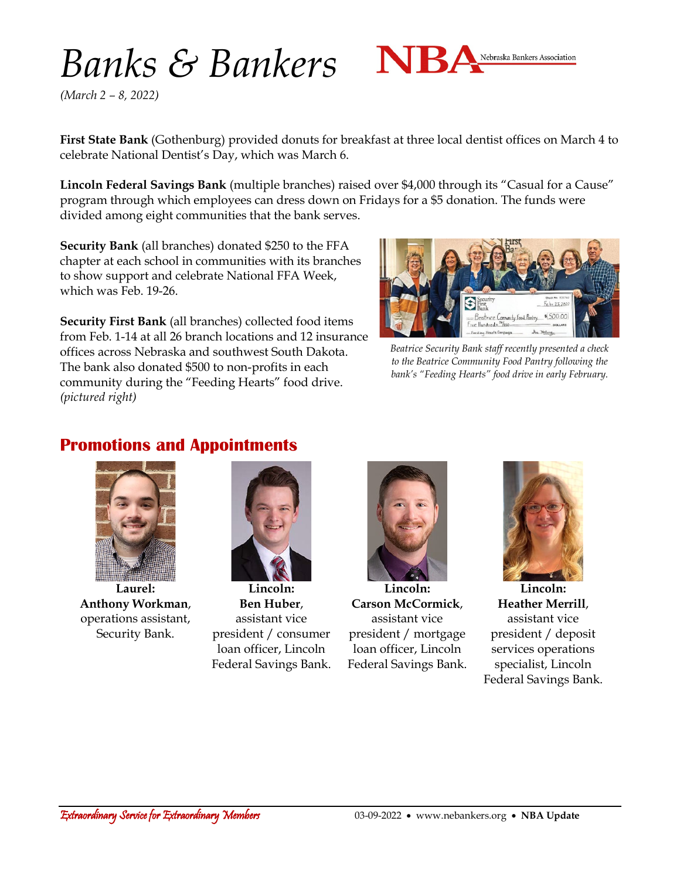## *Banks & Bankers*



*(March 2 – 8, 2022)*

**First State Bank** (Gothenburg) provided donuts for breakfast at three local dentist offices on March 4 to celebrate National Dentist's Day, which was March 6.

**Lincoln Federal Savings Bank** (multiple branches) raised over \$4,000 through its "Casual for a Cause" program through which employees can dress down on Fridays for a \$5 donation. The funds were divided among eight communities that the bank serves.

**Security Bank** (all branches) donated \$250 to the FFA chapter at each school in communities with its branches to show support and celebrate National FFA Week, which was Feb. 19-26.

**Security First Bank** (all branches) collected food items from Feb. 1-14 at all 26 branch locations and 12 insurance offices across Nebraska and southwest South Dakota. The bank also donated \$500 to non-profits in each community during the "Feeding Hearts" food drive. *(pictured right)*



*Beatrice Security Bank staff recently presented a check to the Beatrice Community Food Pantry following the bank's "Feeding Hearts" food drive in early February.*

### **Promotions and Appointments**



**Laurel: Anthony Workman**, operations assistant, Security Bank.



**Lincoln: Ben Huber**, assistant vice president / consumer loan officer, Lincoln Federal Savings Bank.



**Lincoln: Carson McCormick**, assistant vice president / mortgage loan officer, Lincoln Federal Savings Bank.



**Lincoln: Heather Merrill**, assistant vice president / deposit services operations specialist, Lincoln Federal Savings Bank.